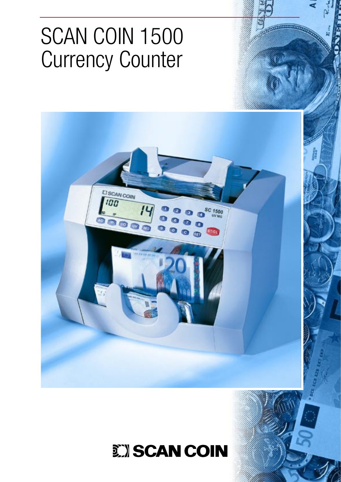# SCAN COIN 1500 Currency Counter



. . . . . . . . .

## **EXISCAN COIN**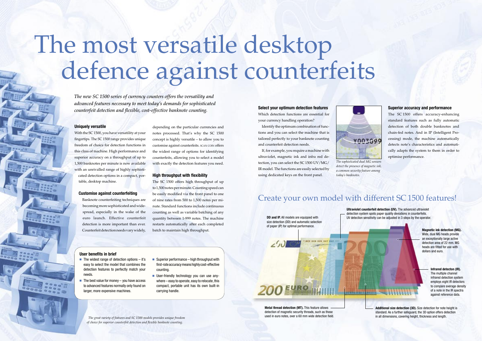## **Uniquely versatile**

With the SC 1500, you have versatility at your fingertips. The SC 1500 range provides unique freedom of choice for detection functions in this class of machine. High performance and superior accuracy on a throughput of up to 1,500 banknotes per minute is now available with an unrivalled range of highly sophisticated detection options in a compact, portable, desktop machine.

## **Customise against counterfeiting**

Banknote counterfeiting techniques are becoming more sophisticated and widespread, especially in the wake of the euro launch. Effective counterfeit detection is more important than ever. Counterfeit detection needs vary widely,

depending on the particular currencies and notes processed. That's why the SC 1500 concept is highly versatile – to allow you to customise against counterfeits. SCAN COIN offers the widest range of options for identifying counterfeits, allowing you to select a model with exactly the detection features you need.

### **High throughput with flexibility**

The SC 1500 offers high throughput of up to 1,500 notes per minute. Counting speed can be easily modified via the front panel to one of nine rates from 500 to 1,500 notes per minute. Standard functions include continuous counting as well as variable batching of any quantity between 1-999 notes. The machine restarts automatically after each completed batch to maintain high throughput.

*The new SC 1500 series of currency counters offers the versatility and advanced features necessary to meet today's demands for sophisticated counterfeit detection and flexible, cost-effective banknote counting.* 

## *The great variety of features and SC 1500 models provides unique freedom of choice for superior counterfeit detection and flexible banknote counting.*

- $\blacksquare$  The widest range of detection options  $-$  it's easy to select the model that combines the detection features to perfectly match your needs.
- The best value for money you have access to advanced features normally only found on larger, more expensive machines.
- Superior performance high throughput with first-rate accuracy means highly cost-effective counting.
- User-friendly technology you can use anywhere – easy to operate, easy to relocate, this compact, portable unit has its own built-in carrying handle.

**DD and IP.** All models are equipped with size detection (DD) and automatic selection of paper (IP) for optimal performance.

 $\left( \cdot\right)$ 

**Ultraviolet counterfeit detection (UV).** The advanced ultraviolet detection system spots paper quality deviations in counterfeits. UV detection sensitivity can be adjusted in 3 steps by the operator.

**THE CONTRACTOR** 

**Magnetic ink detection (MG).** Wide, dual MG heads provide an exceptionally large active detection area of 22 mm. MG heads are fitted for use with dollars and euro.

> **Infrared detecton (IR).** The multiple channel infrared detection system employs eight IR detectors to compare average density of a note in the IR spectra against reference data.

**Additional size detection (3D).** Size detection for note height is standard. As a further safeguard, the 3D option offers detection in all dimensions, covering height, thickness and length.

**Metal thread detection (MT).** This feature allows detection of magnetic security threads, such as those used in euro notes, over a 60 mm wide detection field.

**200 EURO** 

# The most versatile desktop defence against counterfeits



*detect the presence of magnetic ink, a common security feature among* 

*today's banknotes.*

## **User benefits in brief**

#### **Select your optimum detection features**

Which detection functions are essential for your currency handling operation?

 Identify the optimum combination of functions and you can select the machine that is tailored perfectly to your banknote counting and counterfeit detection needs.

 If, for example, you require a machine with ultraviolet, magnetic ink and infra red detection, you can select the SC 1500 UV/MG/ IR model. The functions are easily selected by using dedicated keys on the front panel.

## **Superior accuracy and performance**

The SC 1500 offers accuracy-enhancing standard features such as fully automatic detection of both double banknotes and chain-fed notes. And in IP (Intelligent Processing) mode, the machine automatically detects note's characteristics and automatically adapts the system to them in order to optimise performance.

## Create your own model with different SC 1500 features!